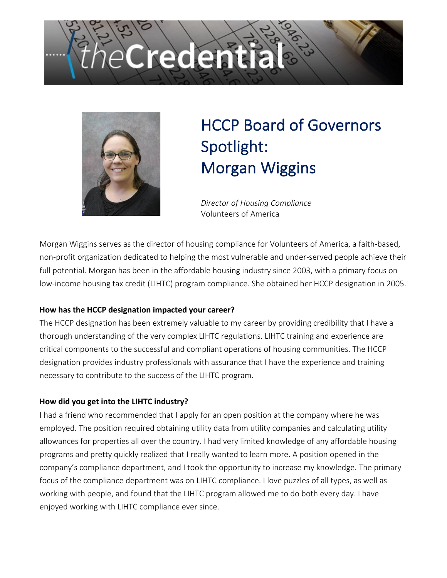# Credenti



# HCCP Board of Governors Spotlight: Morgan Wiggins

*Director of Housing Compliance* Volunteers of America

Morgan Wiggins serves as the director of housing compliance for Volunteers of America, a faith-based, non-profit organization dedicated to helping the most vulnerable and under-served people achieve their full potential. Morgan has been in the affordable housing industry since 2003, with a primary focus on low-income housing tax credit (LIHTC) program compliance. She obtained her HCCP designation in 2005.

# **How has the HCCP designation impacted your career?**

The HCCP designation has been extremely valuable to my career by providing credibility that I have a thorough understanding of the very complex LIHTC regulations. LIHTC training and experience are critical components to the successful and compliant operations of housing communities. The HCCP designation provides industry professionals with assurance that I have the experience and training necessary to contribute to the success of the LIHTC program.

# **How did you get into the LIHTC industry?**

I had a friend who recommended that I apply for an open position at the company where he was employed. The position required obtaining utility data from utility companies and calculating utility allowances for properties all over the country. I had very limited knowledge of any affordable housing programs and pretty quickly realized that I really wanted to learn more. A position opened in the company's compliance department, and I took the opportunity to increase my knowledge. The primary focus of the compliance department was on LIHTC compliance. I love puzzles of all types, as well as working with people, and found that the LIHTC program allowed me to do both every day. I have enjoyed working with LIHTC compliance ever since.